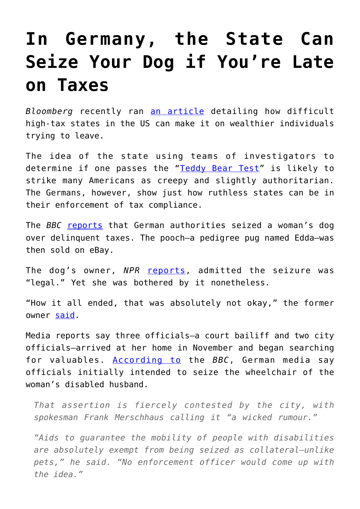## **[In Germany, the State Can](https://intellectualtakeout.org/2019/03/in-germany-the-state-can-seize-your-dog-if-youre-late-on-taxes/) [Seize Your Dog if You're Late](https://intellectualtakeout.org/2019/03/in-germany-the-state-can-seize-your-dog-if-youre-late-on-taxes/) [on Taxes](https://intellectualtakeout.org/2019/03/in-germany-the-state-can-seize-your-dog-if-youre-late-on-taxes/)**

*Bloomberg* recently ran [an article](https://www.bloombergquint.com/global-economics/rich-people-find-it-hard-to-flee-states-targeted-by-salt-limits#gs.qTPefa64) detailing how difficult high-tax states in the US can make it on wealthier individuals trying to leave.

The idea of the state using teams of investigators to determine if one passes the "[Teddy Bear Test](https://www.dta.ny.gov/pdf/determinations/826504.det.pdf)" is likely to strike many Americans as creepy and slightly authoritarian. The Germans, however, show just how ruthless states can be in their enforcement of tax compliance.

The *BBC* [reports](https://www.bbc.com/news/world-europe-47401439) that German authorities seized a woman's dog over delinquent taxes. The pooch—a pedigree pug named Edda—was then sold on eBay.

The dog's owner, *NPR* [reports](https://www.npr.org/2019/02/28/698900379/in-germany-family-pug-seized-and-sold-on-ebay-to-cover-unpaid-debts), admitted the seizure was "legal." Yet she was bothered by it nonetheless.

"How it all ended, that was absolutely not okay," the former owner [said.](https://www.npr.org/2019/02/28/698900379/in-germany-family-pug-seized-and-sold-on-ebay-to-cover-unpaid-debts)

Media reports say three officials—a court bailiff and two city officials—arrived at her home in November and began searching for valuables. [According to](https://www.npr.org/2019/02/28/698900379/in-germany-family-pug-seized-and-sold-on-ebay-to-cover-unpaid-debts) the *BBC*, German media say officials initially intended to seize the wheelchair of the woman's disabled husband.

*That assertion is fiercely contested by the city, with spokesman Frank Merschhaus calling it "a wicked rumour."*

*"Aids to guarantee the mobility of people with disabilities are absolutely exempt from being seized as collateral—unlike pets," he said. "No enforcement officer would come up with the idea."*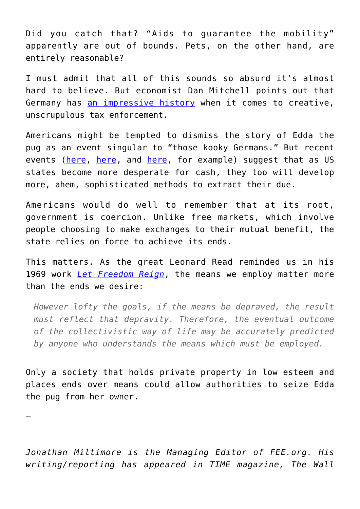Did you catch that? "Aids to guarantee the mobility" apparently are out of bounds. Pets, on the other hand, are entirely reasonable?

I must admit that all of this sounds so absurd it's almost hard to believe. But economist Dan Mitchell points out that Germany has [an impressive history](https://danieljmitchell.wordpress.com/2019/03/03/great-moments-in-german-tax-enforcement/) when it comes to creative, unscrupulous tax enforcement.

Americans might be tempted to dismiss the story of Edda the pug as an event singular to "those kooky Germans." But recent events [\(here,](https://fee.org/articles/cash-desperate-illinois-bureaucrats-are-now-taxing-lap-dances-sparking-legal-battle/) [here,](https://fee.org/articles/new-jersey-lawmakers-are-trying-to-tax-the-rain/) and [here,](https://fee.org/articles/california-s-new-governor-calls-for-a-tax-on-drinking-water/) for example) suggest that as US states become more desperate for cash, they too will develop more, ahem, sophisticated methods to extract their due.

Americans would do well to remember that at its root, government is coercion. Unlike free markets, which involve people choosing to make exchanges to their mutual benefit, the state relies on force to achieve its ends.

This matters. As the great Leonard Read reminded us in his 1969 work *[Let Freedom Reign](https://fee.org/articles/leonard-e-read-on-why-means-matter-more-than-ends/)*, the means we employ matter more than the ends we desire:

*However lofty the goals, if the means be depraved, the result must reflect that depravity. Therefore, the eventual outcome of the collectivistic way of life may be accurately predicted by anyone who understands the means which must be employed.*

Only a society that holds private property in low esteem and places ends over means could allow authorities to seize Edda the pug from her owner.

—

*Jonathan Miltimore is the Managing Editor of FEE.org. His writing/reporting has appeared in TIME magazine, The Wall*